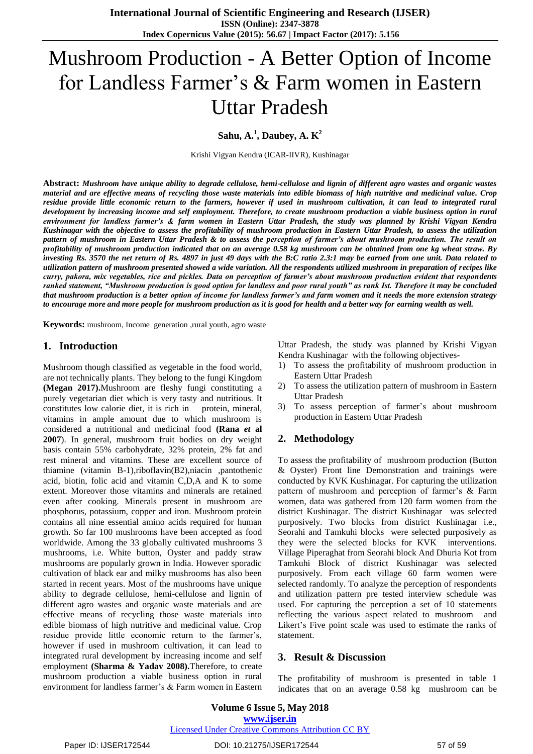# Mushroom Production - A Better Option of Income for Landless Farmer's & Farm women in Eastern Uttar Pradesh

**Sahu, A.<sup>1</sup> , Daubey, A. K 2**

Krishi Vigyan Kendra (ICAR-IIVR), Kushinagar

**Abstract:** *Mushroom have unique ability to degrade cellulose, hemi-cellulose and lignin of different agro wastes and organic wastes material and are effective means of recycling those waste materials into edible biomass of high nutritive and medicinal value. Crop residue provide little economic return to the farmers, however if used in mushroom cultivation, it can lead to integrated rural development by increasing income and self employment. Therefore, to create mushroom production a viable business option in rural environment for landless farmer's & farm women in Eastern Uttar Pradesh, the study was planned by Krishi Vigyan Kendra Kushinagar with the objective to assess the profitability of mushroom production in Eastern Uttar Pradesh, to assess the utilization pattern of mushroom in Eastern Uttar Pradesh & to assess the perception of farmer's about mushroom production. The result on profitability of mushroom production indicated that on an average 0.58 kg mushroom can be obtained from one kg wheat straw. By investing Rs. 3570 the net return of Rs. 4897 in just 49 days with the B:C ratio 2.3:1 may be earned from one unit. Data related to utilization pattern of mushroom presented showed a wide variation. All the respondents utilized mushroom in preparation of recipes like curry, pakora, mix vegetables, rice and pickles. Data on perception of farmer's about mushroom production evident that respondents ranked statement, "Mushroom production is good option for landless and poor rural youth" as rank Ist. Therefore it may be concluded that mushroom production is a better option of income for landless farmer's and farm women and it needs the more extension strategy to encourage more and more people for mushroom production as it is good for health and a better way for earning wealth as well.*

**Keywords:** mushroom, Income generation ,rural youth, agro waste

### **1. Introduction**

Mushroom though classified as vegetable in the food world, are not technically plants. They belong to the fungi Kingdom **(Megan 2017).**Mushroom are fleshy fungi constituting a purely vegetarian diet which is very tasty and nutritious. It constitutes low calorie diet, it is rich in protein, mineral, vitamins in ample amount due to which mushroom is considered a nutritional and medicinal food **(Rana** *et* **al 2007**). In general, mushroom fruit bodies on dry weight basis contain 55% carbohydrate, 32% protein, 2% fat and rest mineral and vitamins. These are excellent source of thiamine (vitamin B-1),riboflavin(B2),niacin ,pantothenic acid, biotin, folic acid and vitamin C,D,A and K to some extent. Moreover those vitamins and minerals are retained even after cooking. Minerals present in mushroom are phosphorus, potassium, copper and iron. Mushroom protein contains all nine essential amino acids required for human growth. So far 100 mushrooms have been accepted as food worldwide. Among the 33 globally cultivated mushrooms 3 mushrooms, i.e. White button, Oyster and paddy straw mushrooms are popularly grown in India. However sporadic cultivation of black ear and milky mushrooms has also been started in recent years. Most of the mushrooms have unique ability to degrade cellulose, hemi-cellulose and lignin of different agro wastes and organic waste materials and are effective means of recycling those waste materials into edible biomass of high nutritive and medicinal value. Crop residue provide little economic return to the farmer's, however if used in mushroom cultivation, it can lead to integrated rural development by increasing income and self employment **(Sharma & Yadav 2008).**Therefore, to create mushroom production a viable business option in rural environment for landless farmer's & Farm women in Eastern Uttar Pradesh, the study was planned by Krishi Vigyan Kendra Kushinagar with the following objectives-

- 1) To assess the profitability of mushroom production in Eastern Uttar Pradesh
- 2) To assess the utilization pattern of mushroom in Eastern Uttar Pradesh
- 3) To assess perception of farmer's about mushroom production in Eastern Uttar Pradesh

# **2. Methodology**

To assess the profitability of mushroom production (Button & Oyster) Front line Demonstration and trainings were conducted by KVK Kushinagar. For capturing the utilization pattern of mushroom and perception of farmer's & Farm women, data was gathered from 120 farm women from the district Kushinagar. The district Kushinagar was selected purposively. Two blocks from district Kushinagar i.e., Seorahi and Tamkuhi blocks were selected purposively as they were the selected blocks for KVK interventions. Village Piperaghat from Seorahi block And Dhuria Kot from Tamkuhi Block of district Kushinagar was selected purposively. From each village 60 farm women were selected randomly. To analyze the perception of respondents and utilization pattern pre tested interview schedule was used. For capturing the perception a set of 10 statements reflecting the various aspect related to mushroom and Likert's Five point scale was used to estimate the ranks of statement.

#### **3. Result & Discussion**

The profitability of mushroom is presented in table 1 indicates that on an average 0.58 kg mushroom can be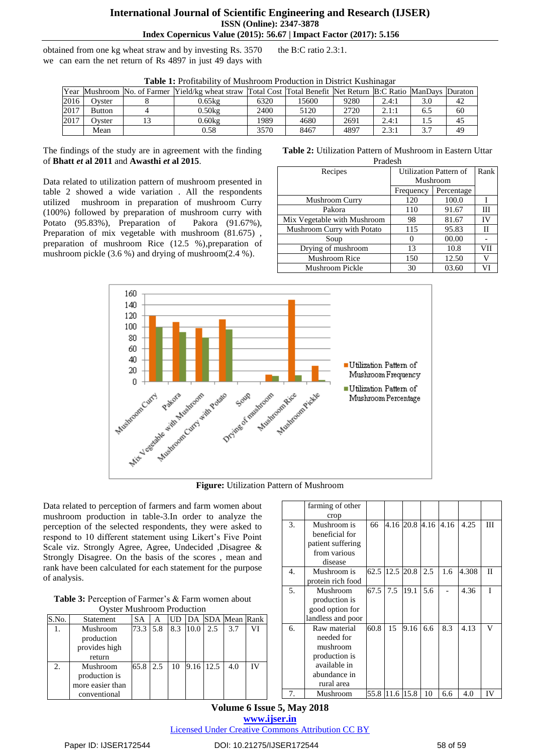## **International Journal of Scientific Engineering and Research (IJSER) ISSN (Online): 2347-3878 Index Copernicus Value (2015): 56.67 | Impact Factor (2017): 5.156**

obtained from one kg wheat straw and by investing Rs. 3570 we can earn the net return of Rs 4897 in just 49 days with the B:C ratio 2.3:1.

|      | <b>Table 1.</b> Fromability of Musilloom Froduction in District Kushmagal |  |                                                                                                                |      |       |      |       |     |    |  |  |  |
|------|---------------------------------------------------------------------------|--|----------------------------------------------------------------------------------------------------------------|------|-------|------|-------|-----|----|--|--|--|
|      |                                                                           |  | Year Mushroom No. of Farmer Yield/kg wheat straw Total Cost Total Benefit Net Return B:C Ratio ManDays Duraton |      |       |      |       |     |    |  |  |  |
| 2016 | Ovster                                                                    |  | 0.65kg                                                                                                         | 6320 | 15600 | 9280 | 2.4:1 | 3.0 | 42 |  |  |  |
| 2017 | <b>Button</b>                                                             |  | 0.50kg                                                                                                         | 2400 | 5120  | 2720 | 2.1:1 | 6.5 | 60 |  |  |  |
| 2017 | Ovster                                                                    |  | 0.60kg                                                                                                         | 1989 | 4680  | 2691 | 2.4:1 |     |    |  |  |  |
|      | Mean                                                                      |  | 0.58                                                                                                           | 3570 | 8467  | 4897 | 2.3:1 |     | 49 |  |  |  |

**Table 1:** Profitability of Mushroom Production in District Kushinagar

The findings of the study are in agreement with the finding of **Bhatt** *et* **al 2011** and **Awasthi** *et* **al 2015**.

Data related to utilization pattern of mushroom presented in table 2 showed a wide variation . All the respondents utilized mushroom in preparation of mushroom Curry (100%) followed by preparation of mushroom curry with Potato (95.83%), Preparation of Pakora (91.67%), Preparation of mix vegetable with mushroom  $(81.675)$ , preparation of mushroom Rice (12.5 %),preparation of mushroom pickle (3.6 %) and drying of mushroom(2.4 %).

#### **Table 2:** Utilization Pattern of Mushroom in Eastern Uttar Pradesh

| r ragesh                    |                        |            |     |  |  |  |  |  |
|-----------------------------|------------------------|------------|-----|--|--|--|--|--|
| Recipes                     | Utilization Pattern of | Rank       |     |  |  |  |  |  |
|                             | Mushroom               |            |     |  |  |  |  |  |
|                             | Frequency              | Percentage |     |  |  |  |  |  |
| <b>Mushroom Curry</b>       | 120                    | 100.0      | I   |  |  |  |  |  |
| Pakora                      | 110                    | 91.67      | Ш   |  |  |  |  |  |
| Mix Vegetable with Mushroom | 98                     | 81.67      | IV  |  |  |  |  |  |
| Mushroom Curry with Potato  | 115                    | 95.83      | П   |  |  |  |  |  |
| Soup                        |                        | 00.00      |     |  |  |  |  |  |
| Drying of mushroom          | 13                     | 10.8       | VII |  |  |  |  |  |
| <b>Mushroom Rice</b>        | 150                    | 12.50      | V   |  |  |  |  |  |
| Mushroom Pickle             | 30                     | 03.60      | VI  |  |  |  |  |  |



Data related to perception of farmers and farm women about mushroom production in table-3.In order to analyze the perception of the selected respondents, they were asked to respond to 10 different statement using Likert's Five Point Scale viz. Strongly Agree, Agree, Undecided ,Disagree & Strongly Disagree. On the basis of the scores , mean and rank have been calculated for each statement for the purpose of analysis.

| Table 3: Perception of Farmer's & Farm women about |
|----------------------------------------------------|
| <b>Oyster Mushroom Production</b>                  |

| $\sigma$ , ster massim comme roughed in |                                                               |      |     |           |           |     |                  |           |  |
|-----------------------------------------|---------------------------------------------------------------|------|-----|-----------|-----------|-----|------------------|-----------|--|
| S.No.                                   | Statement                                                     | SА   | А   | <b>UD</b> |           |     | DA SDA Mean Rank |           |  |
| 1.                                      | Mushroom<br>production<br>provides high                       | 73.3 | 5.8 | 8.3       | 10.0      | 2.5 | 3.7              | VI        |  |
|                                         | return                                                        |      |     |           |           |     |                  |           |  |
| 2.                                      | Mushroom<br>production is<br>more easier than<br>conventional | 65.8 | 2.5 | 10        | 9.16 12.5 |     | 4.0              | <b>IV</b> |  |

|    | farming of other  |      |      |      |                |      |       |             |
|----|-------------------|------|------|------|----------------|------|-------|-------------|
|    | crop              |      |      |      |                |      |       |             |
| 3. | Mushroom is       | 66   |      |      | 4.16 20.8 4.16 | 4.16 | 4.25  | Ш           |
|    | beneficial for    |      |      |      |                |      |       |             |
|    | patient suffering |      |      |      |                |      |       |             |
|    | from various      |      |      |      |                |      |       |             |
|    | disease           |      |      |      |                |      |       |             |
| 4. | Mushroom is       | 62.5 | 12.5 | 20.8 | 2.5            | 1.6  | 4.308 | $_{\rm II}$ |
|    | protein rich food |      |      |      |                |      |       |             |
| 5. | Mushroom          | 67.5 | 7.5  | 19.1 | 5.6            |      | 4.36  | T           |
|    | production is     |      |      |      |                |      |       |             |
|    | good option for   |      |      |      |                |      |       |             |
|    | landless and poor |      |      |      |                |      |       |             |
| 6. | Raw material      | 60.8 | 15   | 9.16 | 6.6            | 8.3  | 4.13  | v           |
|    | needed for        |      |      |      |                |      |       |             |
|    | mushroom          |      |      |      |                |      |       |             |
|    | production is     |      |      |      |                |      |       |             |
|    | available in      |      |      |      |                |      |       |             |
|    | abundance in      |      |      |      |                |      |       |             |
|    | rural area        |      |      |      |                |      |       |             |
| 7. | Mushroom          | 55.8 | 11.6 | 15.8 | 10             | 6.6  | 4.0   | IV          |

**Volume 6 Issue 5, May 2018 <www.ijser.in>** [Licensed Under Creative Commons Attribution CC BY](http://creativecommons.org/licenses/by/4.0/)